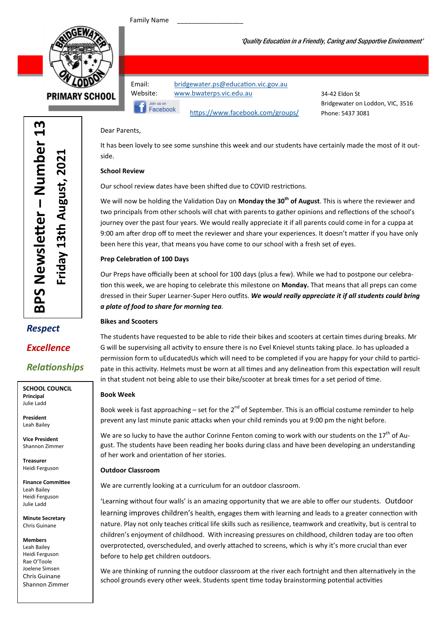Family Name

Join us or Facebook



**PRIMARY SCHOOL** 

Email: bridgewater.ps@education.vic.gov.au Website: www.bwaterps.vic.edu.au

34-42 Eldon St Bridgewater on Loddon, VIC, 3516 Phone: 5437 3081

'Quality Education in a Friendly, Caring and Supportive Environment'

#### Dear Parents,

It has been lovely to see some sunshine this week and our students have certainly made the most of it outside.

https://www.facebook.com/groups/

#### School Review

Our school review dates have been shifted due to COVID restrictions.

We will now be holding the Validation Day on Monday the 30<sup>th</sup> of August. This is where the reviewer and two principals from other schools will chat with parents to gather opinions and reflections of the school's journey over the past four years. We would really appreciate it if all parents could come in for a cuppa at 9:00 am after drop off to meet the reviewer and share your experiences. It doesn't matter if you have only been here this year, that means you have come to our school with a fresh set of eyes.

#### Prep Celebration of 100 Days

Our Preps have officially been at school for 100 days (plus a few). While we had to postpone our celebration this week, we are hoping to celebrate this milestone on Monday. That means that all preps can come dressed in their Super Learner-Super Hero outfits. We would really appreciate it if all students could bring a plate of food to share for morning tea.

#### Bikes and Scooters

The students have requested to be able to ride their bikes and scooters at certain times during breaks. Mr G will be supervising all activity to ensure there is no Evel Knievel stunts taking place. Jo has uploaded a permission form to uEducatedUs which will need to be completed if you are happy for your child to participate in this activity. Helmets must be worn at all times and any delineation from this expectation will result in that student not being able to use their bike/scooter at break times for a set period of time.

#### Book Week

Book week is fast approaching – set for the  $2^{nd}$  of September. This is an official costume reminder to help prevent any last minute panic attacks when your child reminds you at 9:00 pm the night before.

We are so lucky to have the author Corinne Fenton coming to work with our students on the  $17<sup>th</sup>$  of August. The students have been reading her books during class and have been developing an understanding of her work and orientation of her stories.

#### Outdoor Classroom

We are currently looking at a curriculum for an outdoor classroom.

'Learning without four walls' is an amazing opportunity that we are able to offer our students. Outdoor learning improves children's health, engages them with learning and leads to a greater connection with nature. Play not only teaches critical life skills such as resilience, teamwork and creativity, but is central to children's enjoyment of childhood. With increasing pressures on childhood, children today are too often overprotected, overscheduled, and overly attached to screens, which is why it's more crucial than ever before to help get children outdoors.

We are thinking of running the outdoor classroom at the river each fortnight and then alternatively in the school grounds every other week. Students spent time today brainstorming potential activities

## Respect Excellence

**Relationships** 

SCHOOL COUNCIL Principal Julie Ladd

President Leah Bailey

Vice President Shannon Zimmer

Treasurer Heidi Ferguson

Finance Committee Leah Bailey Heidi Ferguson Julie Ladd

Minute Secretary Chris Guinane

Members Leah Bailey Heidi Ferguson Rae O'Toole Joelene Simsen Chris Guinane

Shannon Zimmer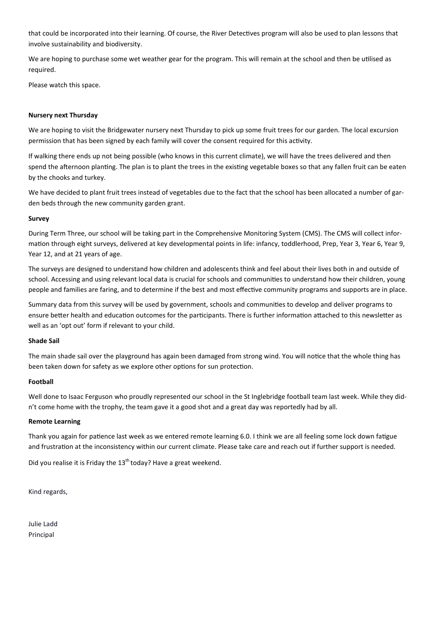that could be incorporated into their learning. Of course, the River Detectives program will also be used to plan lessons that involve sustainability and biodiversity.

We are hoping to purchase some wet weather gear for the program. This will remain at the school and then be utilised as required.

Please watch this space.

#### Nursery next Thursday

We are hoping to visit the Bridgewater nursery next Thursday to pick up some fruit trees for our garden. The local excursion permission that has been signed by each family will cover the consent required for this activity.

If walking there ends up not being possible (who knows in this current climate), we will have the trees delivered and then spend the afternoon planting. The plan is to plant the trees in the existing vegetable boxes so that any fallen fruit can be eaten by the chooks and turkey.

We have decided to plant fruit trees instead of vegetables due to the fact that the school has been allocated a number of garden beds through the new community garden grant.

#### Survey

During Term Three, our school will be taking part in the Comprehensive Monitoring System (CMS). The CMS will collect information through eight surveys, delivered at key developmental points in life: infancy, toddlerhood, Prep, Year 3, Year 6, Year 9, Year 12, and at 21 years of age.

The surveys are designed to understand how children and adolescents think and feel about their lives both in and outside of school. Accessing and using relevant local data is crucial for schools and communities to understand how their children, young people and families are faring, and to determine if the best and most effective community programs and supports are in place.

Summary data from this survey will be used by government, schools and communities to develop and deliver programs to ensure better health and education outcomes for the participants. There is further information attached to this newsletter as well as an 'opt out' form if relevant to your child.

#### Shade Sail

The main shade sail over the playground has again been damaged from strong wind. You will notice that the whole thing has been taken down for safety as we explore other options for sun protection.

#### Football

Well done to Isaac Ferguson who proudly represented our school in the St Inglebridge football team last week. While they didn't come home with the trophy, the team gave it a good shot and a great day was reportedly had by all.

#### Remote Learning

Thank you again for patience last week as we entered remote learning 6.0. I think we are all feeling some lock down fatigue and frustration at the inconsistency within our current climate. Please take care and reach out if further support is needed.

Did you realise it is Friday the  $13<sup>th</sup>$  today? Have a great weekend.

Kind regards,

Julie Ladd Principal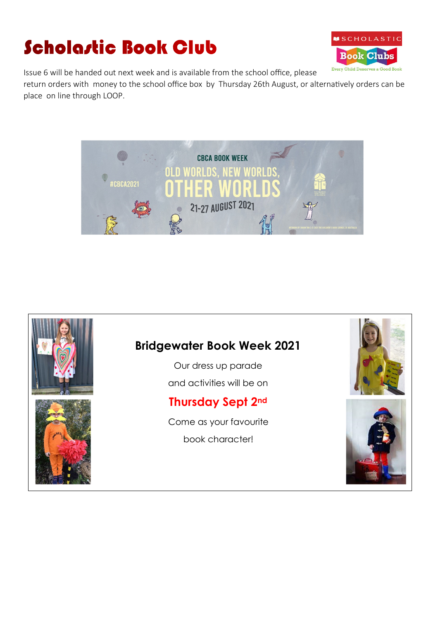# **Scholastic Book Club**



Issue 6 will be handed out next week and is available from the school office, please

return orders with money to the school office box by Thursday 26th August, or alternatively orders can be place on line through LOOP.